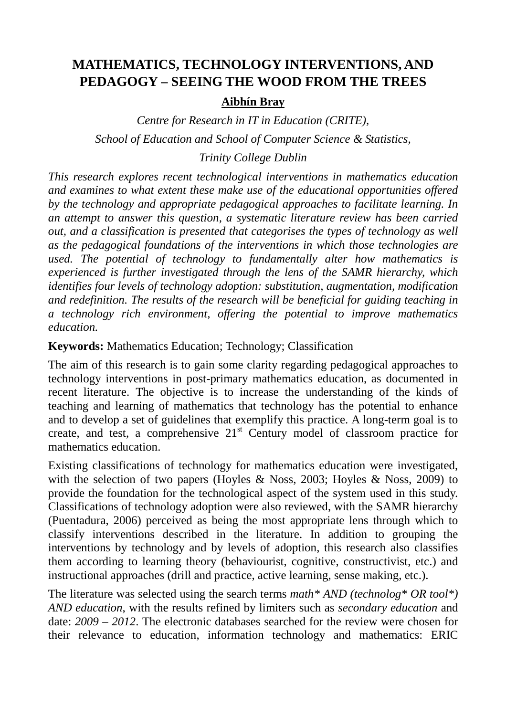# **MATHEMATICS, TECHNOLOGY INTERVENTIONS, AND PEDAGOGY – SEEING THE WOOD FROM THE TREES**

### **Aibhín Bray**

*Centre for Research in IT in Education (CRITE), School of Education and School of Computer Science & Statistics,* 

## *Trinity College Dublin*

*This research explores recent technological interventions in mathematics education and examines to what extent these make use of the educational opportunities offered by the technology and appropriate pedagogical approaches to facilitate learning. In an attempt to answer this question, a systematic literature review has been carried out, and a classification is presented that categorises the types of technology as well as the pedagogical foundations of the interventions in which those technologies are used. The potential of technology to fundamentally alter how mathematics is experienced is further investigated through the lens of the SAMR hierarchy, which identifies four levels of technology adoption: substitution, augmentation, modification and redefinition. The results of the research will be beneficial for guiding teaching in a technology rich environment, offering the potential to improve mathematics education.* 

## **Keywords:** Mathematics Education; Technology; Classification

The aim of this research is to gain some clarity regarding pedagogical approaches to technology interventions in post-primary mathematics education, as documented in recent literature. The objective is to increase the understanding of the kinds of teaching and learning of mathematics that technology has the potential to enhance and to develop a set of guidelines that exemplify this practice. A long-term goal is to create, and test, a comprehensive  $21<sup>st</sup>$  Century model of classroom practice for mathematics education.

Existing classifications of technology for mathematics education were investigated, with the selection of two papers (Hoyles & Noss, 2003; Hoyles & Noss, 2009) to provide the foundation for the technological aspect of the system used in this study. Classifications of technology adoption were also reviewed, with the SAMR hierarchy (Puentadura, 2006) perceived as being the most appropriate lens through which to classify interventions described in the literature. In addition to grouping the interventions by technology and by levels of adoption, this research also classifies them according to learning theory (behaviourist, cognitive, constructivist, etc.) and instructional approaches (drill and practice, active learning, sense making, etc.).

The literature was selected using the search terms *math\* AND (technolog\* OR tool\*) AND education*, with the results refined by limiters such as *secondary education* and date: *2009 – 2012*. The electronic databases searched for the review were chosen for their relevance to education, information technology and mathematics: ERIC